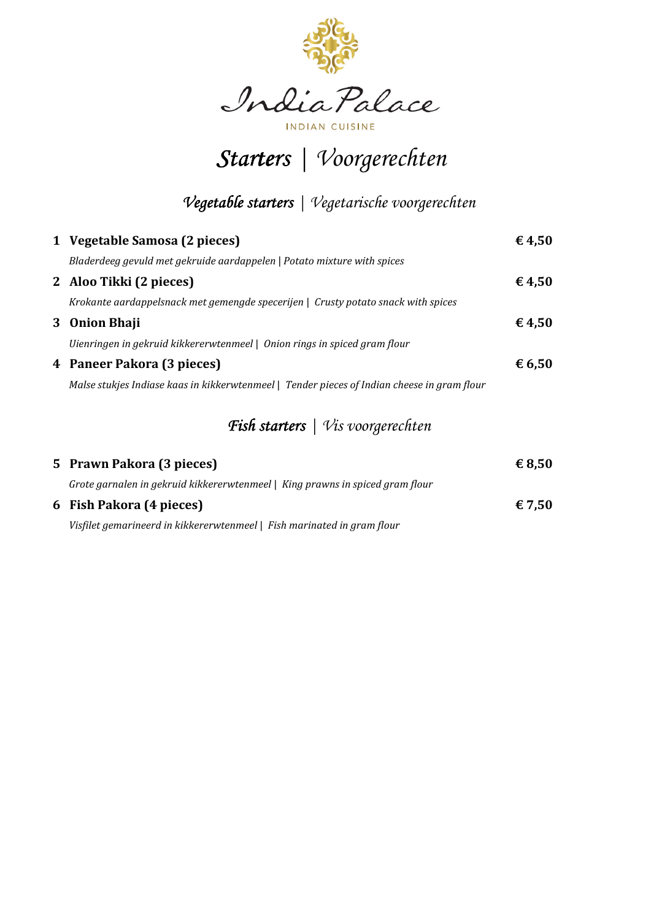

INDIAN CUISINE

 $Starters \mid Voorgerechten$ 

## *Vegetable starters Vegetable starters|Vegetarische voorgerechten*

| 1 Vegetable Samosa (2 pieces)                                                               | € 4,50          |
|---------------------------------------------------------------------------------------------|-----------------|
| Bladerdeeg gevuld met gekruide aardappelen   Potato mixture with spices                     |                 |
| 2 Aloo Tikki (2 pieces)                                                                     | € 4,50          |
| Krokante aardappelsnack met gemengde specerijen   Crusty potato snack with spices           |                 |
| 3 Onion Bhaji                                                                               | $\epsilon$ 4,50 |
| Uienringen in gekruid kikkererwtenmeel   Onion rings in spiced gram flour                   |                 |
| 4 Paneer Pakora (3 pieces)                                                                  | $\epsilon$ 6,50 |
| Malse stukjes Indiase kaas in kikkerwtenmeel   Tender pieces of Indian cheese in gram flour |                 |
|                                                                                             |                 |

## Fish starters | Vis voorgerechten

| 5 Prawn Pakora (3 pieces)                                                     | $\epsilon$ 8,50 |
|-------------------------------------------------------------------------------|-----------------|
| Grote garnalen in gekruid kikkererwtenmeel   King prawns in spiced gram flour |                 |
| 6 Fish Pakora (4 pieces)                                                      | € 7.50          |
| Visfilet gemarineerd in kikkererwtenmeel   Fish marinated in gram flour       |                 |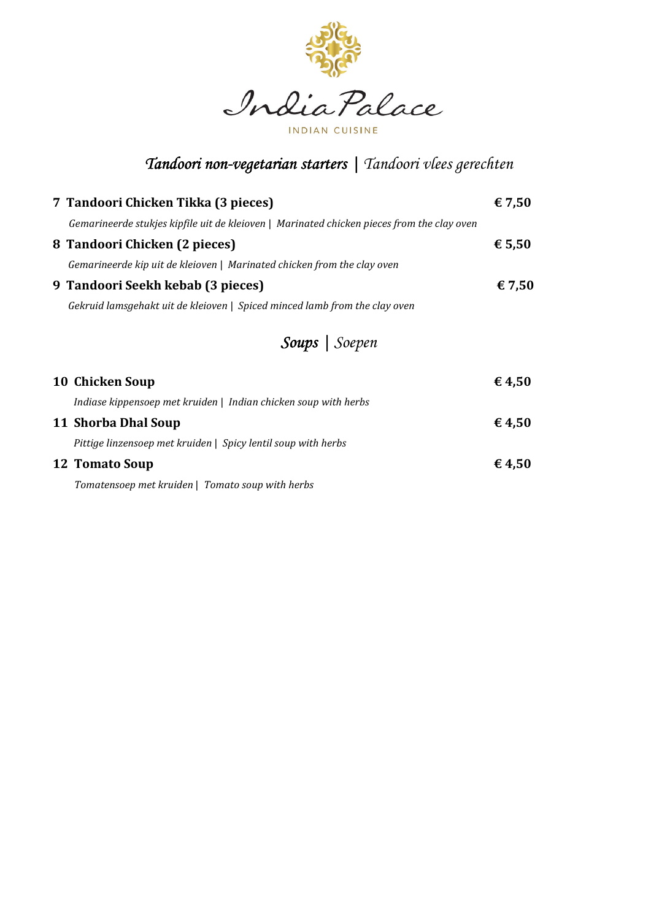

## *Tandoori non- Tandoori non-vegetarian starters vegetarian starters starters | Tandoori vlees gerechten*

| 7 Tandoori Chicken Tikka (3 pieces)                                                        | € 7,50          |
|--------------------------------------------------------------------------------------------|-----------------|
| Gemarineerde stukjes kipfile uit de kleioven   Marinated chicken pieces from the clay oven |                 |
| 8 Tandoori Chicken (2 pieces)                                                              | € 5,50          |
| Gemarineerde kip uit de kleioven   Marinated chicken from the clay oven                    |                 |
| 9 Tandoori Seekh kebab (3 pieces)                                                          | € 7,50          |
| Gekruid lamsgehakt uit de kleioven   Spiced minced lamb from the clay oven                 |                 |
| Soups   Soepen                                                                             |                 |
| 10 Chicken Soup                                                                            | $\epsilon$ 4,50 |
| Indiase kippensoep met kruiden   Indian chicken soup with herbs                            |                 |
| 11 Shorba Dhal Soup                                                                        | € 4.50          |
| Pittige linzensoep met kruiden   Spicy lentil soup with herbs                              |                 |

**12 Tomato Soup**  $\epsilon$  **4,50** 

*Tomatensoep met kruiden* | *Tomato soup with herbs*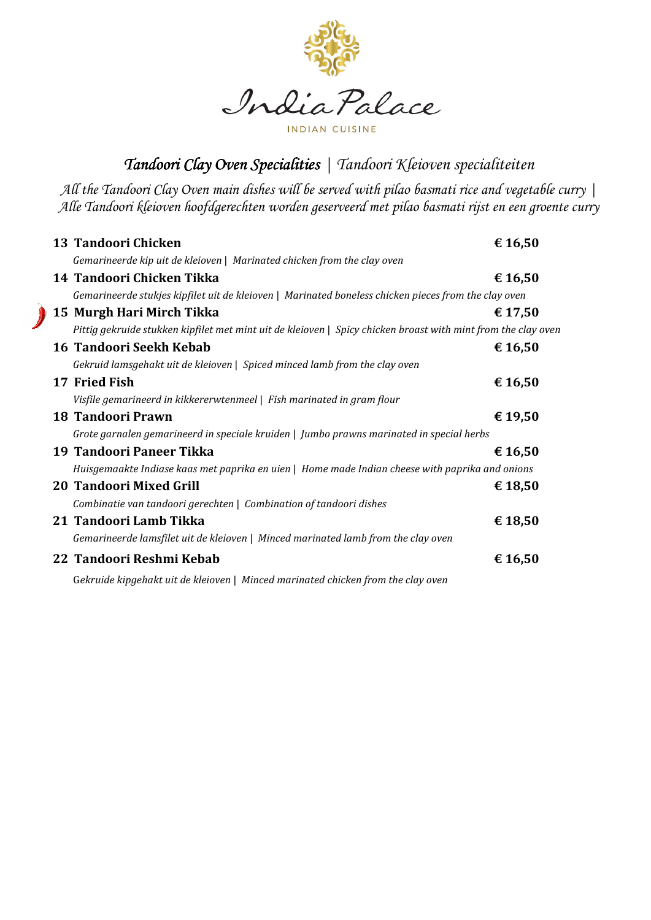

*Tandoori Clay Oven Specialities | Tandoori Kleioven specialiteiten* 

*All the Tandoori Clay Oven main dishes will be served with pilao basmati rice and vegetable curry | Alle Tandoori kleioven hoofdgerechten worden geserveerd met pilao basmati rijst en een groente curry* 

| 13 Tandoori Chicken                                                                                           | € 16,50 |
|---------------------------------------------------------------------------------------------------------------|---------|
| Gemarineerde kip uit de kleioven   Marinated chicken from the clay oven                                       |         |
| 14 Tandoori Chicken Tikka                                                                                     | € 16,50 |
| Gemarineerde stukjes kipfilet uit de kleioven   Marinated boneless chicken pieces from the clay oven          |         |
| 15 Murgh Hari Mirch Tikka                                                                                     | € 17,50 |
| Pittig gekruide stukken kipfilet met mint uit de kleioven   Spicy chicken broast with mint from the clay oven |         |
| 16 Tandoori Seekh Kebab                                                                                       | € 16,50 |
| Gekruid lamsgehakt uit de kleioven   Spiced minced lamb from the clay oven                                    |         |
| 17 Fried Fish                                                                                                 | € 16,50 |
| Visfile gemarineerd in kikkererwtenmeel   Fish marinated in gram flour                                        |         |
| <b>18 Tandoori Prawn</b>                                                                                      | € 19,50 |
| Grote garnalen gemarineerd in speciale kruiden   Jumbo prawns marinated in special herbs                      |         |
| 19 Tandoori Paneer Tikka                                                                                      | € 16,50 |
| Huisgemaakte Indiase kaas met paprika en uien   Home made Indian cheese with paprika and onions               |         |
| <b>20 Tandoori Mixed Grill</b>                                                                                | € 18,50 |
| Combinatie van tandoori gerechten   Combination of tandoori dishes                                            |         |
| 21 Tandoori Lamb Tikka                                                                                        | € 18,50 |
| Gemarineerde lamsfilet uit de kleioven   Minced marinated lamb from the clay oven                             |         |
| 22 Tandoori Reshmi Kebab                                                                                      | € 16,50 |
| Gekruide kipgehakt uit de kleioven   Minced marinated chicken from the clay oven                              |         |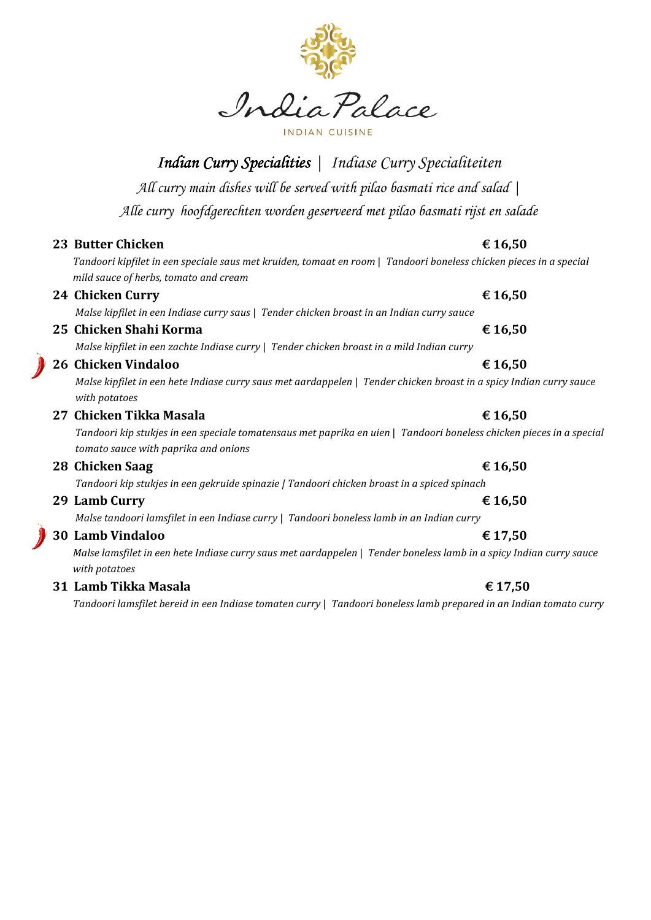

**Indian Curry Specialities** | Indiase Curry Specialiteiten

*All curry main dishes will be served with pilao basmati rice and salad |* 

*Alle curry hoofdgerechten worden geserveerd met pilao basmati rijst en salade* 

## **23 Butter Chicken € 16.50**

 *Tandoori kipfilet in een speciale saus met kruiden, tomaat en room* | *Tandoori boneless chicken pieces in a special mild sauce of herbs, tomato and cream* 

## **24 Chicken Curry**  $\epsilon$  **16,50** *Malse kipfilet in een Indiase curry saus* | *Tender chicken broast in an Indian curry sauce*

## **25 Chicken Shahi Korma € 16,50**

*Malse kipfilet in een zachte Indiase curry* | *Tender chicken broast in a mild Indian curry* 

## **26 Chicken Vindaloo € 16,50**

 *Malse kipfilet in een hete Indiase curry saus met aardappelen* | *Tender chicken broast in a spicy Indian curry sauce with potatoes* 

## **27 Chicken Tikka Masala € 16,50**

 *Tandoori kip stukjes in een speciale tomatensaus met paprika en uien* | *Tandoori boneless chicken pieces in a special tomato sauce with paprika and onions* 

## **28 Chicken Saag € 16,50**

 *Tandoori kip stukjes in een gekruide spinazie | Tandoori chicken broast in a spiced spinach* 

## **29 Lamb Curry € 16,50**

*Malse tandoori lamsfilet in een Indiase curry* | *Tandoori boneless lamb in an Indian curry* 

## **30 Lamb Vindaloo € 17,50**

 *Malse lamsfilet in een hete Indiase curry saus met aardappelen* | *Tender boneless lamb in a spicy Indian curry sauce with potatoes* 

## **31 Lamb Tikka Masala**  $\epsilon$  17,50

 *Tandoori lamsfilet bereid in een Indiase tomaten curry* | *Tandoori boneless lamb prepared in an Indian tomato curry*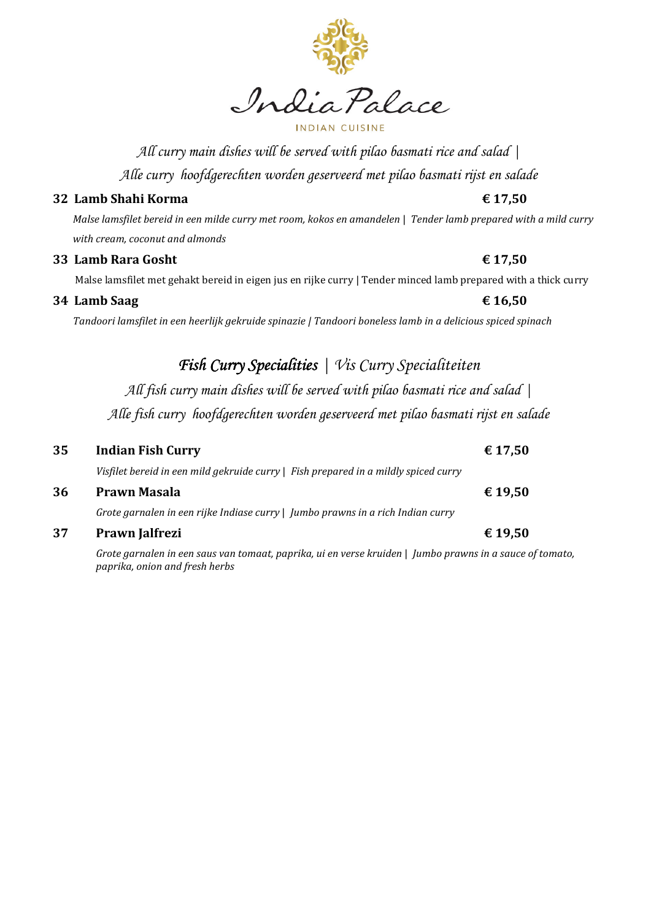

India Palace

### NDIAN CILIS

*All curry main dishes will be served with pilao basmati rice and salad | Alle curry hoofdgerechten worden geserveerd met pilao basmati rijst en salade* 

## **32 Lamb Shahi Korma € 17,50**

 *Malse lamsfilet bereid in een milde curry met room, kokos en amandelen* | *Tender lamb prepared with a mild curry with cream, coconut and almonds* 

### **33 Lamb Rara Gosht**  $\epsilon$  17,50

Malse lamsfilet met gehakt bereid in eigen jus en rijke curry | Tender minced lamb prepared with a thick curry

### **34 Lamb Saag € 16,50**

 *Tandoori lamsfilet in een heerlijk gekruide spinazie | Tandoori boneless lamb in a delicious spiced spinach* 

## Fish Curry Specialities | Vis Curry Specialiteiten

*All fish curry main dishes will be served with pilao basmati rice and salad | Alle fish curry hoofdgerechten worden geserveerd met pilao basmati rijst en salade* 

## **35 Indian Fish Curry € 17,50**  *Visfilet bereid in een mild gekruide curry* | *Fish prepared in a mildly spiced curry*  **36 Prawn Masala € 19,50**

*Grote garnalen in een rijke Indiase curry* | *Jumbo prawns in a rich Indian curry* 

### **37 Prawn Jalfrezi € 19,50**

*Grote garnalen in een saus van tomaat, paprika, ui en verse kruiden* | *Jumbo prawns in a sauce of tomato, paprika, onion and fresh herbs*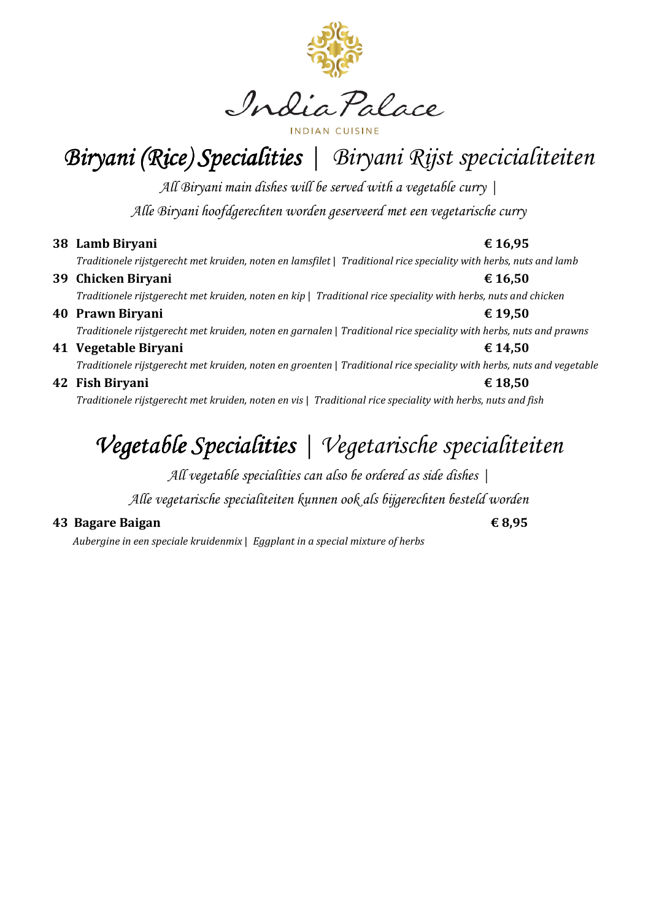

Biryani (Rice) Specialities | Biryani Rijst specicialiteiten

*All Biryani main dishes will be served with a vegetable curry | Alle Biryani hoofdgerechten worden geserveerd met een vegetarische curry* 

**38 Lamb Biryani € 16,95** 

 *Traditionele rijstgerecht met kruiden, noten en lamsfilet* | *Traditional rice speciality with herbs, nuts and lamb* 

**39 Chicken Biryani € 16,50**   *Traditionele rijstgerecht met kruiden, noten en kip* | *Traditional rice speciality with herbs, nuts and chicken*  **40 Prawn Biryani € 19,50**   *Traditionele rijstgerecht met kruiden, noten en garnalen* | *Traditional rice speciality with herbs, nuts and prawns*  **41 Vegetable Biryani € 14,50** 

 *Traditionele rijstgerecht met kruiden, noten en groenten* | *Traditional rice speciality with herbs, nuts and vegetable* 

**42 Fish Biryani € 18,50**   *Traditionele rijstgerecht met kruiden, noten en vis* | *Traditional rice speciality with herbs, nuts and fish* 

# *Vegetable Specialities* | Vegetarische specialiteiten

*All vegetable specialities can also be ordered as side dishes |* 

*Alle vegetarische specialiteiten kunnen ook als bijgerechten besteld worden* 

## **43 Bagare Baigan € 8,95**

*Aubergine in een speciale kruidenmix* | *Eggplant in a special mixture of herbs*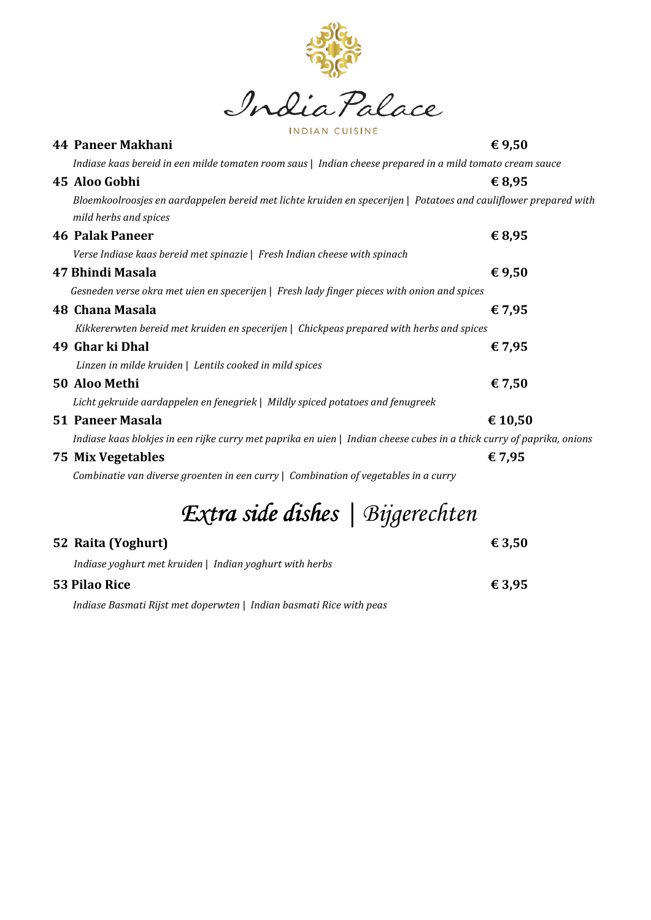

| 44 Paneer Makhani                                                                                                     | € 9,50  |
|-----------------------------------------------------------------------------------------------------------------------|---------|
| Indiase kaas bereid in een milde tomaten room saus   Indian cheese prepared in a mild tomato cream sauce              |         |
| 45 Aloo Gobhi                                                                                                         | € 8,95  |
| Bloemkoolroosjes en aardappelen bereid met lichte kruiden en specerijen   Potatoes and cauliflower prepared with      |         |
| mild herbs and spices                                                                                                 |         |
| <b>46 Palak Paneer</b>                                                                                                | € 8,95  |
| Verse Indiase kaas bereid met spinazie   Fresh Indian cheese with spinach                                             |         |
| 47 Bhindi Masala                                                                                                      | €9,50   |
| Gesneden verse okra met uien en specerijen   Fresh lady finger pieces with onion and spices                           |         |
| 48 Chana Masala                                                                                                       | € 7,95  |
| Kikkererwten bereid met kruiden en specerijen   Chickpeas prepared with herbs and spices                              |         |
| 49 Ghar ki Dhal                                                                                                       | € 7,95  |
| Linzen in milde kruiden   Lentils cooked in mild spices                                                               |         |
| 50 Aloo Methi                                                                                                         | € 7,50  |
| Licht gekruide aardappelen en fenegriek   Mildly spiced potatoes and fenugreek                                        |         |
| <b>51 Paneer Masala</b>                                                                                               | € 10,50 |
| Indiase kaas blokjes in een rijke curry met paprika en uien   Indian cheese cubes in a thick curry of paprika, onions |         |
| <b>75 Mix Vegetables</b>                                                                                              | € 7,95  |
| Combinatie van diverse groenten in een curry   Combination of vegetables in a curry                                   |         |
| Extra side dishes   Bijgerechten                                                                                      |         |
| 52 Raita (Yoghurt)                                                                                                    | € 3,50  |
| Indiase yoghurt met kruiden   Indian yoghurt with herbs                                                               |         |

**53 Pilao Rice € 3,95** 

*Indiase Basmati Rijst met doperwten* | *Indian basmati Rice with peas*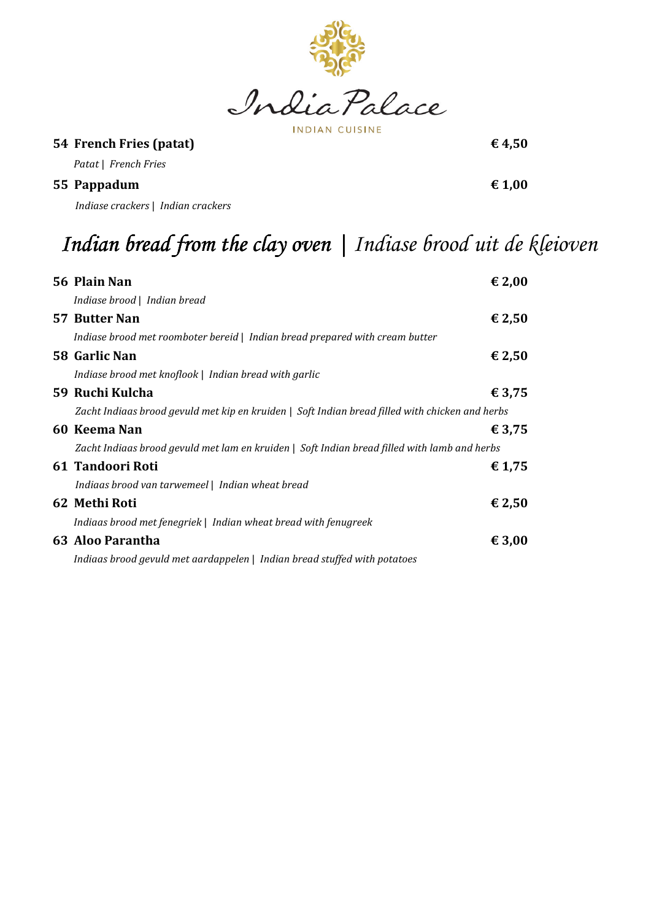

**INDIAN CUISINE** 

## **54 French Fries (patat)**  $\epsilon$  4,50

*Patat* | *French Fries* 

**55 Pappadum € 1,00** 

*Indiase crackers* | *Indian crackers* 

# Indian bread from the clay oven | Indiase brood uit de kleioven

| 56 Plain Nan                                                                                    | € 2,00          |
|-------------------------------------------------------------------------------------------------|-----------------|
| Indiase brood   Indian bread                                                                    |                 |
| 57 Butter Nan                                                                                   | $\epsilon$ 2,50 |
| Indiase brood met roomboter bereid   Indian bread prepared with cream butter                    |                 |
| 58 Garlic Nan                                                                                   | $\epsilon$ 2,50 |
| Indiase brood met knoflook   Indian bread with garlic                                           |                 |
| 59 Ruchi Kulcha                                                                                 | € 3,75          |
| Zacht Indiaas brood gevuld met kip en kruiden   Soft Indian bread filled with chicken and herbs |                 |
| 60 Keema Nan                                                                                    | € 3,75          |
| Zacht Indiaas brood gevuld met lam en kruiden   Soft Indian bread filled with lamb and herbs    |                 |
| 61 Tandoori Roti                                                                                | € 1,75          |
| Indiaas brood van tarwemeel   Indian wheat bread                                                |                 |
| 62 Methi Roti                                                                                   | $\epsilon$ 2,50 |
| Indiaas brood met fenegriek   Indian wheat bread with fenugreek                                 |                 |
| 63 Aloo Parantha                                                                                | € 3,00          |
| Indiaas brood gevuld met aardappelen   Indian bread stuffed with potatoes                       |                 |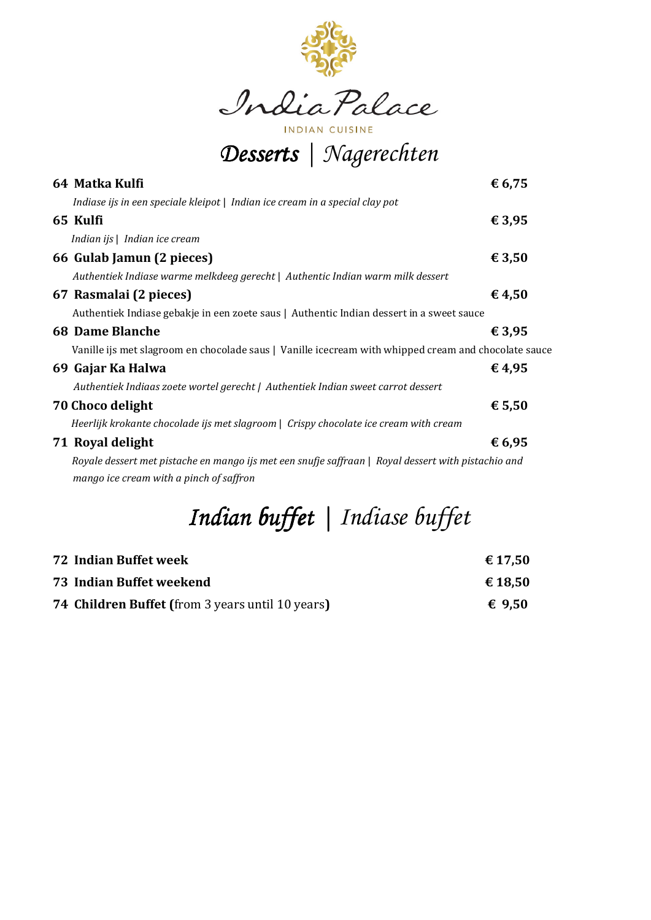

**INDIAN CUISINE** *Desserts Desserts|Nagerechten*

| ັ                                                                                                    |        |
|------------------------------------------------------------------------------------------------------|--------|
| 64 Matka Kulfi                                                                                       | € 6,75 |
| Indiase ijs in een speciale kleipot   Indian ice cream in a special clay pot                         |        |
| 65 Kulfi                                                                                             | € 3,95 |
| Indian ijs   Indian ice cream                                                                        |        |
| 66 Gulab Jamun (2 pieces)                                                                            | € 3,50 |
| Authentiek Indiase warme melkdeeg gerecht   Authentic Indian warm milk dessert                       |        |
| 67 Rasmalai (2 pieces)                                                                               | € 4,50 |
| Authentiek Indiase gebakje in een zoete saus   Authentic Indian dessert in a sweet sauce             |        |
| <b>68 Dame Blanche</b>                                                                               | € 3,95 |
| Vanille ijs met slagroom en chocolade saus   Vanille icecream with whipped cream and chocolate sauce |        |
| 69 Gajar Ka Halwa                                                                                    | € 4,95 |
| Authentiek Indiaas zoete wortel gerecht   Authentiek Indian sweet carrot dessert                     |        |
| 70 Choco delight                                                                                     | € 5,50 |
| Heerlijk krokante chocolade ijs met slagroom   Crispy chocolate ice cream with cream                 |        |
| 71 Royal delight                                                                                     | € 6,95 |
| Royale dessert met pistache en mango ijs met een snufje saffraan   Royal dessert with pistachio and  |        |
| mango ice cream with a pinch of saffron                                                              |        |
|                                                                                                      |        |

# *Indian buffet | Indian buffet Indiase buffet*

| <b>72 Indian Buffet week</b>                            | € 17,50 |
|---------------------------------------------------------|---------|
| 73 Indian Buffet weekend                                | € 18.50 |
| <b>74 Children Buffet (from 3 years until 10 years)</b> | € 9.50  |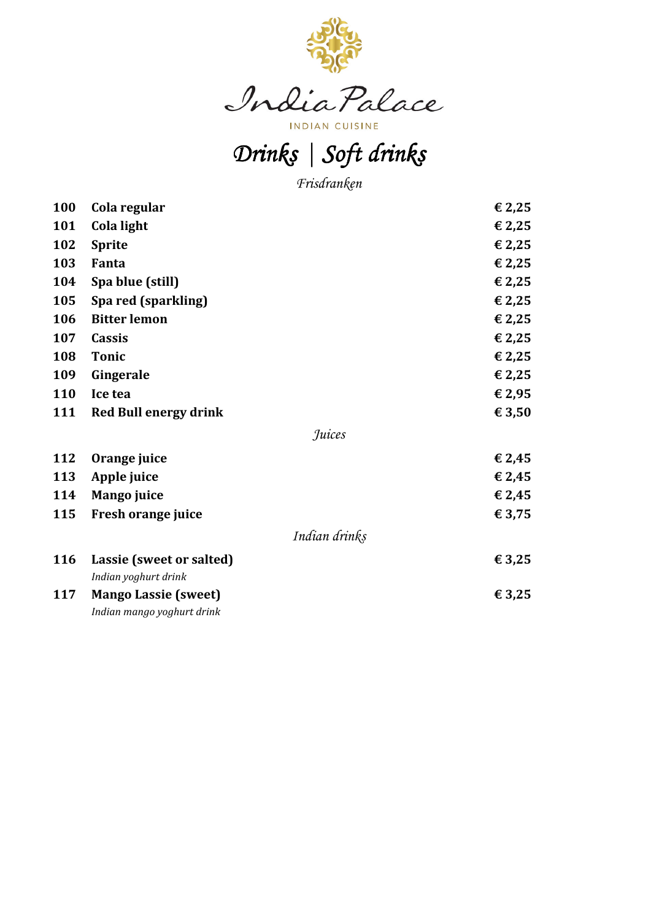

# *Drinks|Soft drinks Soft*

*Frisdranken*

| Cola regular                                              | € 2,25        |
|-----------------------------------------------------------|---------------|
| Cola light                                                | € 2,25        |
| <b>Sprite</b>                                             | € 2,25        |
| Fanta                                                     | € 2,25        |
| Spa blue (still)                                          | € 2,25        |
| Spa red (sparkling)                                       | € 2,25        |
| <b>Bitter lemon</b>                                       | € 2,25        |
| <b>Cassis</b>                                             | € 2,25        |
| <b>Tonic</b>                                              | € 2,25        |
| Gingerale                                                 | € 2,25        |
| Ice tea                                                   | € 2,95        |
| <b>Red Bull energy drink</b>                              | € 3,50        |
|                                                           | Juices        |
| Orange juice                                              | € 2,45        |
| Apple juice                                               | € 2,45        |
| <b>Mango juice</b>                                        | € 2,45        |
| Fresh orange juice                                        | € 3,75        |
|                                                           | Indian drinks |
| Lassie (sweet or salted)                                  | € 3,25        |
| Indian yoghurt drink                                      |               |
| <b>Mango Lassie (sweet)</b><br>Indian mango yoghurt drink | € 3,25        |
|                                                           |               |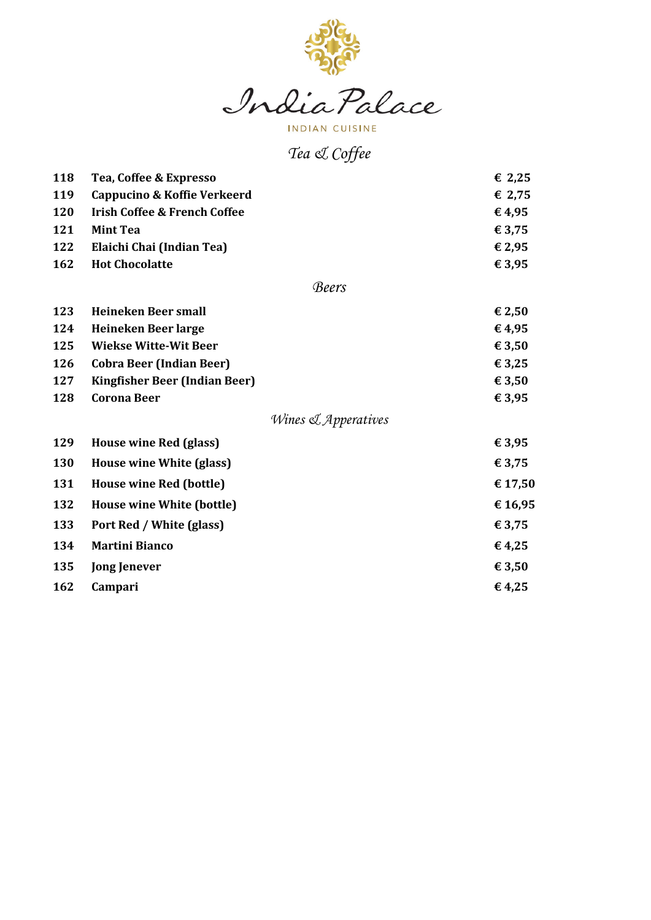

**INDIAN CUISINE** 

# *Tea & Coffee*

| 118 | Tea, Coffee & Expresso                  | € 2,25  |
|-----|-----------------------------------------|---------|
| 119 | <b>Cappucino &amp; Koffie Verkeerd</b>  | € 2,75  |
| 120 | <b>Irish Coffee &amp; French Coffee</b> | €4,95   |
| 121 | <b>Mint Tea</b>                         | € 3,75  |
| 122 | Elaichi Chai (Indian Tea)               | € 2,95  |
| 162 | <b>Hot Chocolatte</b>                   | € 3,95  |
|     | <b>Beers</b>                            |         |
| 123 | <b>Heineken Beer small</b>              | € 2,50  |
| 124 | Heineken Beer large                     | €4,95   |
| 125 | <b>Wiekse Witte-Wit Beer</b>            | € 3,50  |
| 126 | <b>Cobra Beer (Indian Beer)</b>         | € 3,25  |
| 127 | <b>Kingfisher Beer (Indian Beer)</b>    | € 3,50  |
| 128 | <b>Corona Beer</b>                      | € 3,95  |
|     | Wines & Apperatives                     |         |
| 129 | House wine Red (glass)                  | € 3,95  |
| 130 | House wine White (glass)                | € 3,75  |
| 131 | House wine Red (bottle)                 | € 17,50 |
| 132 | House wine White (bottle)               | €16,95  |
| 133 | Port Red / White (glass)                | € 3,75  |
| 134 | <b>Martini Bianco</b>                   | €4,25   |
| 135 | <b>Jong Jenever</b>                     | € 3,50  |
| 162 | Campari                                 | €4,25   |